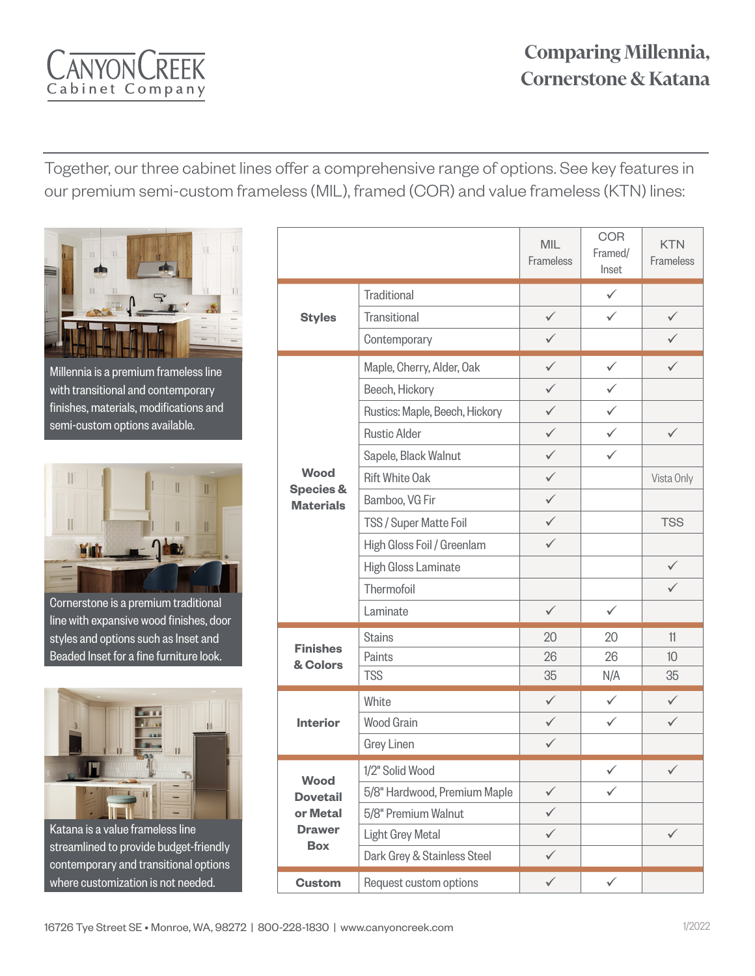### **Comparing Millennia, Cornerstone & Katana**

YONCR Cabinet Company

Together, our three cabinet lines offer a comprehensive range of options. See key features in our premium semi-custom frameless (MIL), framed (COR) and value frameless (KTN) lines:



Millennia is a premium frameless line with transitional and contemporary finishes, materials, modifications and semi-custom options available.



Cornerstone is a premium traditional line with expansive wood finishes, door styles and options such as Inset and Beaded Inset for a fine furniture look.



Katana is a value frameless line streamlined to provide budget-friendly contemporary and transitional options where customization is not needed.

|                                                                    |                                | MIL<br>Frameless | <b>COR</b><br>Framed/<br>Inset | <b>KTN</b><br>Frameless |
|--------------------------------------------------------------------|--------------------------------|------------------|--------------------------------|-------------------------|
| <b>Styles</b>                                                      | <b>Traditional</b>             |                  | $\checkmark$                   |                         |
|                                                                    | Transitional                   | $\checkmark$     | ✓                              | $\checkmark$            |
|                                                                    | Contemporary                   | $\checkmark$     |                                | $\checkmark$            |
| <b>Wood</b><br><b>Species &amp;</b><br><b>Materials</b>            | Maple, Cherry, Alder, Oak      | $\checkmark$     | $\checkmark$                   | $\checkmark$            |
|                                                                    | Beech, Hickory                 | ✓                | ✓                              |                         |
|                                                                    | Rustics: Maple, Beech, Hickory | ✓                | $\checkmark$                   |                         |
|                                                                    | <b>Rustic Alder</b>            | $\checkmark$     | ✓                              | $\checkmark$            |
|                                                                    | Sapele, Black Walnut           | ✓                | $\checkmark$                   |                         |
|                                                                    | <b>Rift White Oak</b>          | ✓                |                                | Vista Only              |
|                                                                    | Bamboo, VG Fir                 | ✓                |                                |                         |
|                                                                    | TSS / Super Matte Foil         | ✓                |                                | <b>TSS</b>              |
|                                                                    | High Gloss Foil / Greenlam     | $\checkmark$     |                                |                         |
|                                                                    | High Gloss Laminate            |                  |                                | $\checkmark$            |
|                                                                    | Thermofoil                     |                  |                                | $\checkmark$            |
|                                                                    | Laminate                       | $\checkmark$     | $\checkmark$                   |                         |
| <b>Finishes</b><br>& Colors                                        | <b>Stains</b>                  | 20               | 20                             | 11                      |
|                                                                    | Paints                         | 26               | 26                             | 10 <sup>10</sup>        |
|                                                                    | <b>TSS</b>                     | 35               | N/A                            | 35                      |
| <b>Interior</b>                                                    | White                          | $\checkmark$     | $\checkmark$                   | $\checkmark$            |
|                                                                    | <b>Wood Grain</b>              | ✓                | ✓                              | $\checkmark$            |
|                                                                    | <b>Grey Linen</b>              | $\checkmark$     |                                |                         |
| Wood<br><b>Dovetail</b><br>or Metal<br><b>Drawer</b><br><b>Box</b> | 1/2" Solid Wood                |                  | ✓                              | $\checkmark$            |
|                                                                    | 5/8" Hardwood, Premium Maple   | $\checkmark$     | $\checkmark$                   |                         |
|                                                                    | 5/8" Premium Walnut            | $\checkmark$     |                                |                         |
|                                                                    | Light Grey Metal               | $\checkmark$     |                                | $\checkmark$            |
|                                                                    | Dark Grey & Stainless Steel    | $\checkmark$     |                                |                         |
| <b>Custom</b>                                                      | Request custom options         | $\checkmark$     | $\checkmark$                   |                         |